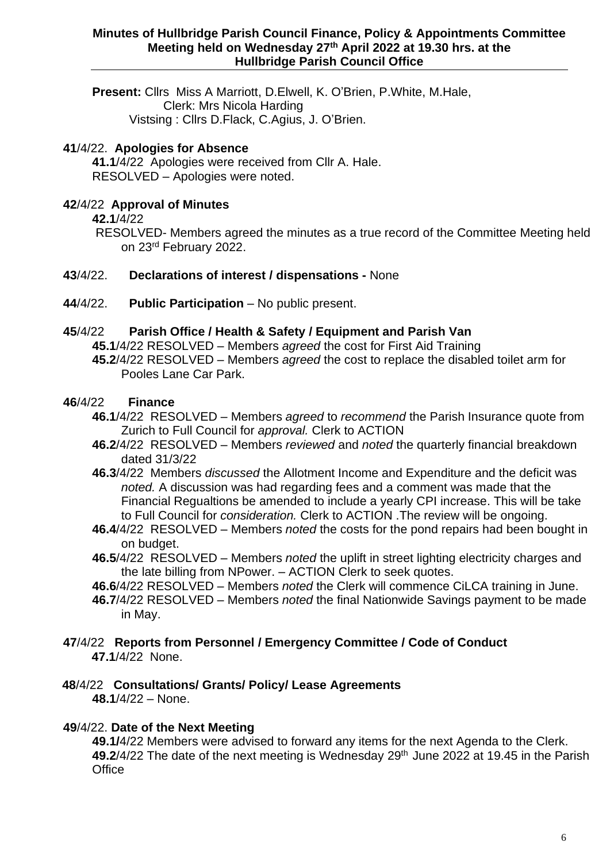**Present:** Cllrs Miss A Marriott, D.Elwell, K. O'Brien, P.White, M.Hale, Clerk: Mrs Nicola Harding Vistsing : Cllrs D.Flack, C.Agius, J. O'Brien.

# **41**/4/22. **Apologies for Absence**

**41.1**/4/22 Apologies were received from Cllr A. Hale. RESOLVED – Apologies were noted.

# **42**/4/22 **Approval of Minutes**

**42.1**/4/22

RESOLVED- Members agreed the minutes as a true record of the Committee Meeting held on 23rd February 2022.

## **43**/4/22. **Declarations of interest / dispensations -** None

**44**/4/22. **Public Participation** – No public present.

## **45**/4/22 **Parish Office / Health & Safety / Equipment and Parish Van**

**45.1**/4/22 RESOLVED – Members *agreed* the cost for First Aid Training

**45.2**/4/22 RESOLVED – Members *agreed* the cost to replace the disabled toilet arm for Pooles Lane Car Park.

## **46**/4/22 **Finance**

- **46.1**/4/22 RESOLVED Members *agreed* to *recommend* the Parish Insurance quote from Zurich to Full Council for *approval.* Clerk to ACTION
- **46.2**/4/22 RESOLVED Members *reviewed* and *noted* the quarterly financial breakdown dated 31/3/22
- **46.3**/4/22 Members *discussed* the Allotment Income and Expenditure and the deficit was *noted.* A discussion was had regarding fees and a comment was made that the Financial Regualtions be amended to include a yearly CPI increase. This will be take to Full Council for *consideration.* Clerk to ACTION .The review will be ongoing.
- **46.4**/4/22 RESOLVED Members *noted* the costs for the pond repairs had been bought in on budget.
- **46.5**/4/22 RESOLVED Members *noted* the uplift in street lighting electricity charges and the late billing from NPower. – ACTION Clerk to seek quotes.
- **46.6**/4/22 RESOLVED Members *noted* the Clerk will commence CiLCA training in June.
- **46.7**/4/22 RESOLVED Members *noted* the final Nationwide Savings payment to be made in May.

#### **47**/4/22 **Reports from Personnel / Emergency Committee / Code of Conduct 47.1**/4/22 None.

#### **48**/4/22 **Consultations/ Grants/ Policy/ Lease Agreements 48.1**/4/22 – None.

## **49**/4/22. **Date of the Next Meeting**

**49.1/**4/22 Members were advised to forward any items for the next Agenda to the Clerk. 49.2/4/22 The date of the next meeting is Wednesday 29<sup>th</sup> June 2022 at 19.45 in the Parish **Office**